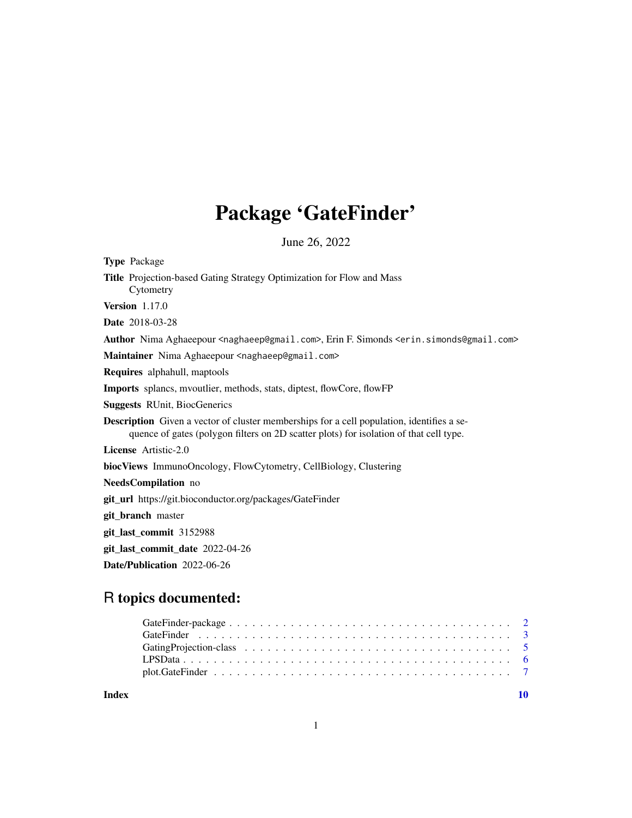# Package 'GateFinder'

June 26, 2022

| Type Package                                                                                                                                                                               |
|--------------------------------------------------------------------------------------------------------------------------------------------------------------------------------------------|
| Title Projection-based Gating Strategy Optimization for Flow and Mass<br>Cytometry                                                                                                         |
| <b>Version</b> 1.17.0                                                                                                                                                                      |
| Date 2018-03-28                                                                                                                                                                            |
| <b>Author</b> Nima Aghaeepour <naghaeep@gmail.com>, Erin F. Simonds <erin.simonds@gmail.com></erin.simonds@gmail.com></naghaeep@gmail.com>                                                 |
| Maintainer Nima Aghaeepour <naghaeep@gmail.com></naghaeep@gmail.com>                                                                                                                       |
| Requires alphahull, maptools                                                                                                                                                               |
| Imports splancs, mvoutlier, methods, stats, diptest, flowCore, flowFP                                                                                                                      |
| <b>Suggests RUnit, BiocGenerics</b>                                                                                                                                                        |
| <b>Description</b> Given a vector of cluster memberships for a cell population, identifies a se-<br>quence of gates (polygon filters on 2D scatter plots) for isolation of that cell type. |
| License Artistic-2.0                                                                                                                                                                       |
| <b>biocViews</b> ImmunoOncology, FlowCytometry, CellBiology, Clustering                                                                                                                    |
| NeedsCompilation no                                                                                                                                                                        |
| git_url https://git.bioconductor.org/packages/GateFinder                                                                                                                                   |
| git_branch master                                                                                                                                                                          |
| git_last_commit 3152988                                                                                                                                                                    |
|                                                                                                                                                                                            |
| Date/Publication 2022-06-26                                                                                                                                                                |
|                                                                                                                                                                                            |

# R topics documented:

 $\blacksquare$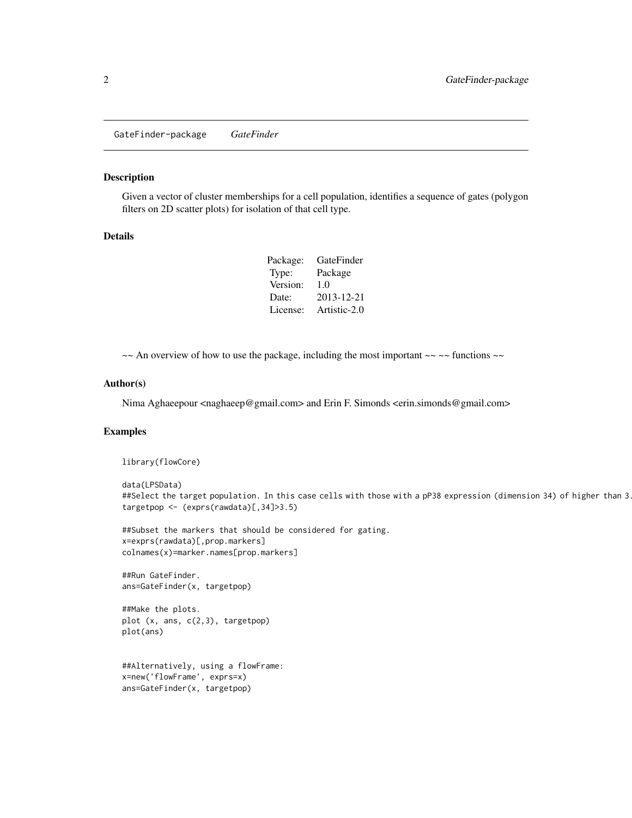<span id="page-1-0"></span>GateFinder-package *GateFinder*

#### Description

Given a vector of cluster memberships for a cell population, identifies a sequence of gates (polygon filters on 2D scatter plots) for isolation of that cell type.

### Details

| Package: | GateFinder   |
|----------|--------------|
| Type:    | Package      |
| Version: | 1.0          |
| Date:    | 2013-12-21   |
| License: | Artistic-2.0 |

 $\sim$  An overview of how to use the package, including the most important  $\sim$   $\sim$  functions  $\sim$ 

#### Author(s)

Nima Aghaeepour <naghaeep@gmail.com> and Erin F. Simonds <erin.simonds@gmail.com>

#### Examples

library(flowCore)

```
data(LPSData)
##Select the target population. In this case cells with those with a pP38 expression (dimension 34) of higher than 3
targetpop <- (exprs(rawdata)[,34]>3.5)
```
##Subset the markers that should be considered for gating. x=exprs(rawdata)[,prop.markers] colnames(x)=marker.names[prop.markers]

##Run GateFinder. ans=GateFinder(x, targetpop)

##Make the plots. plot (x, ans, c(2,3), targetpop) plot(ans)

##Alternatively, using a flowFrame: x=new('flowFrame', exprs=x) ans=GateFinder(x, targetpop)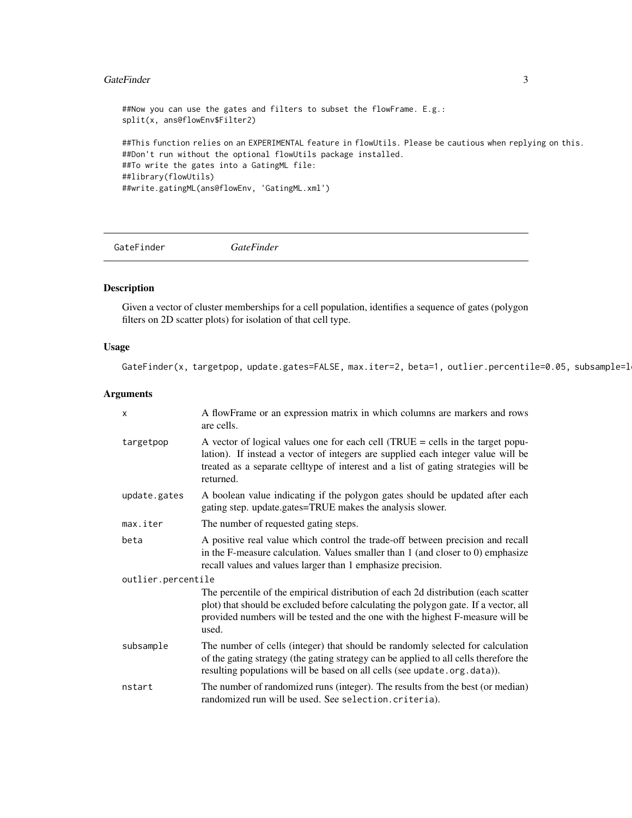#### <span id="page-2-0"></span>GateFinder 3

```
##Now you can use the gates and filters to subset the flowFrame. E.g.:
split(x, ans@flowEnv$Filter2)
##This function relies on an EXPERIMENTAL feature in flowUtils. Please be cautious when replying on this.
##Don't run without the optional flowUtils package installed.
##To write the gates into a GatingML file:
##library(flowUtils)
##write.gatingML(ans@flowEnv, 'GatingML.xml')
```
GateFinder *GateFinder*

#### Description

Given a vector of cluster memberships for a cell population, identifies a sequence of gates (polygon filters on 2D scatter plots) for isolation of that cell type.

# Usage

GateFinder(x, targetpop, update.gates=FALSE, max.iter=2, beta=1, outlier.percentile=0.05, subsample=1

#### Arguments

| $\mathsf{x}$       | A flowFrame or an expression matrix in which columns are markers and rows<br>are cells.                                                                                                                                                                                 |  |  |
|--------------------|-------------------------------------------------------------------------------------------------------------------------------------------------------------------------------------------------------------------------------------------------------------------------|--|--|
| targetpop          | A vector of logical values one for each cell (TRUE $=$ cells in the target popu-<br>lation). If instead a vector of integers are supplied each integer value will be<br>treated as a separate celltype of interest and a list of gating strategies will be<br>returned. |  |  |
| update.gates       | A boolean value indicating if the polygon gates should be updated after each<br>gating step. update.gates=TRUE makes the analysis slower.                                                                                                                               |  |  |
| max.iter           | The number of requested gating steps.                                                                                                                                                                                                                                   |  |  |
| beta               | A positive real value which control the trade-off between precision and recall<br>in the F-measure calculation. Values smaller than $1$ (and closer to $0$ ) emphasize<br>recall values and values larger than 1 emphasize precision.                                   |  |  |
| outlier.percentile |                                                                                                                                                                                                                                                                         |  |  |
|                    | The percentile of the empirical distribution of each 2d distribution (each scatter<br>plot) that should be excluded before calculating the polygon gate. If a vector, all<br>provided numbers will be tested and the one with the highest F-measure will be<br>used.    |  |  |
| subsample          | The number of cells (integer) that should be randomly selected for calculation<br>of the gating strategy (the gating strategy can be applied to all cells therefore the<br>resulting populations will be based on all cells (see update.org.data)).                     |  |  |
| nstart             | The number of randomized runs (integer). The results from the best (or median)<br>randomized run will be used. See selection.criteria).                                                                                                                                 |  |  |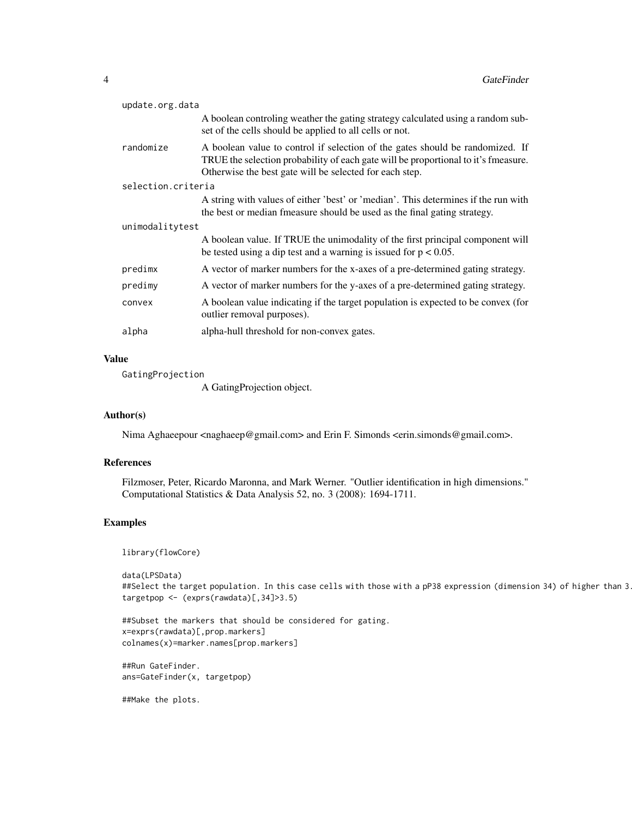| update.org.data    |                                                                                                                                                                                                                                |  |
|--------------------|--------------------------------------------------------------------------------------------------------------------------------------------------------------------------------------------------------------------------------|--|
|                    | A boolean controling weather the gating strategy calculated using a random sub-<br>set of the cells should be applied to all cells or not.                                                                                     |  |
| randomize          | A boolean value to control if selection of the gates should be randomized. If<br>TRUE the selection probability of each gate will be proportional to it's fmeasure.<br>Otherwise the best gate will be selected for each step. |  |
| selection.criteria |                                                                                                                                                                                                                                |  |
|                    | A string with values of either 'best' or 'median'. This determines if the run with<br>the best or median fmeasure should be used as the final gating strategy.                                                                 |  |
| unimodalitytest    |                                                                                                                                                                                                                                |  |
|                    | A boolean value. If TRUE the unimodality of the first principal component will<br>be tested using a dip test and a warning is issued for $p < 0.05$ .                                                                          |  |
| predimx            | A vector of marker numbers for the x-axes of a pre-determined gating strategy.                                                                                                                                                 |  |
| predimy            | A vector of marker numbers for the y-axes of a pre-determined gating strategy.                                                                                                                                                 |  |
| convex             | A boolean value indicating if the target population is expected to be convex (for<br>outlier removal purposes).                                                                                                                |  |
| alpha              | alpha-hull threshold for non-convex gates.                                                                                                                                                                                     |  |
|                    |                                                                                                                                                                                                                                |  |

# Value

GatingProjection

A GatingProjection object.

# Author(s)

Nima Aghaeepour <naghaeep@gmail.com> and Erin F. Simonds <erin.simonds@gmail.com>.

#### References

Filzmoser, Peter, Ricardo Maronna, and Mark Werner. "Outlier identification in high dimensions." Computational Statistics & Data Analysis 52, no. 3 (2008): 1694-1711.

# Examples

library(flowCore)

data(LPSData) ##Select the target population. In this case cells with those with a pP38 expression (dimension 34) of higher than 3 targetpop <- (exprs(rawdata)[,34]>3.5)

##Subset the markers that should be considered for gating. x=exprs(rawdata)[,prop.markers] colnames(x)=marker.names[prop.markers]

##Run GateFinder. ans=GateFinder(x, targetpop)

##Make the plots.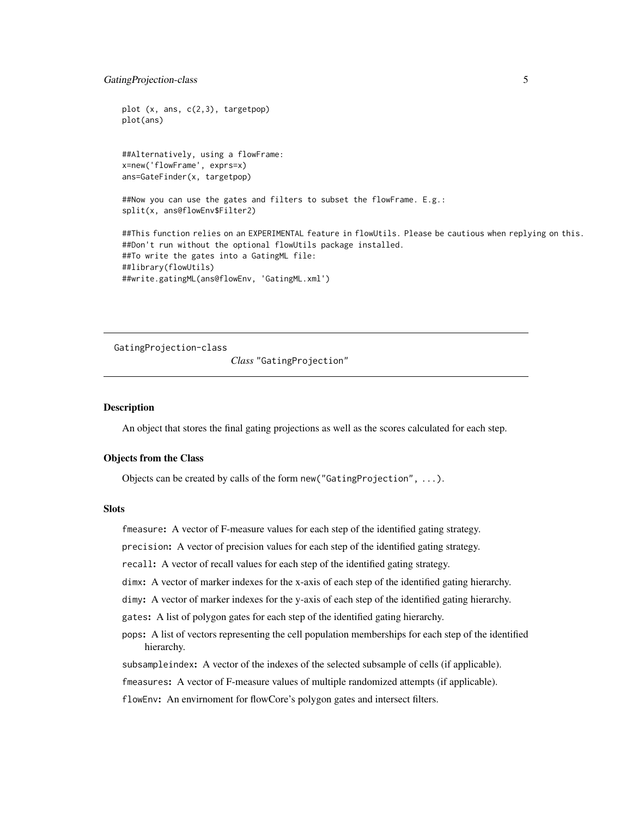```
plot (x, ans, c(2,3), targetpop)
plot(ans)
##Alternatively, using a flowFrame:
x=new('flowFrame', exprs=x)
ans=GateFinder(x, targetpop)
##Now you can use the gates and filters to subset the flowFrame. E.g.:
split(x, ans@flowEnv$Filter2)
##This function relies on an EXPERIMENTAL feature in flowUtils. Please be cautious when replying on this.
##Don't run without the optional flowUtils package installed.
##To write the gates into a GatingML file:
##library(flowUtils)
```
##write.gatingML(ans@flowEnv, 'GatingML.xml')

GatingProjection-class

*Class* "GatingProjection"

# Description

An object that stores the final gating projections as well as the scores calculated for each step.

#### Objects from the Class

Objects can be created by calls of the form new("GatingProjection", ...).

# **Slots**

fmeasure: A vector of F-measure values for each step of the identified gating strategy.

precision: A vector of precision values for each step of the identified gating strategy.

recall: A vector of recall values for each step of the identified gating strategy.

dimx: A vector of marker indexes for the x-axis of each step of the identified gating hierarchy.

dimy: A vector of marker indexes for the y-axis of each step of the identified gating hierarchy.

gates: A list of polygon gates for each step of the identified gating hierarchy.

pops: A list of vectors representing the cell population memberships for each step of the identified hierarchy.

subsampleindex: A vector of the indexes of the selected subsample of cells (if applicable).

fmeasures: A vector of F-measure values of multiple randomized attempts (if applicable).

flowEnv: An envirnoment for flowCore's polygon gates and intersect filters.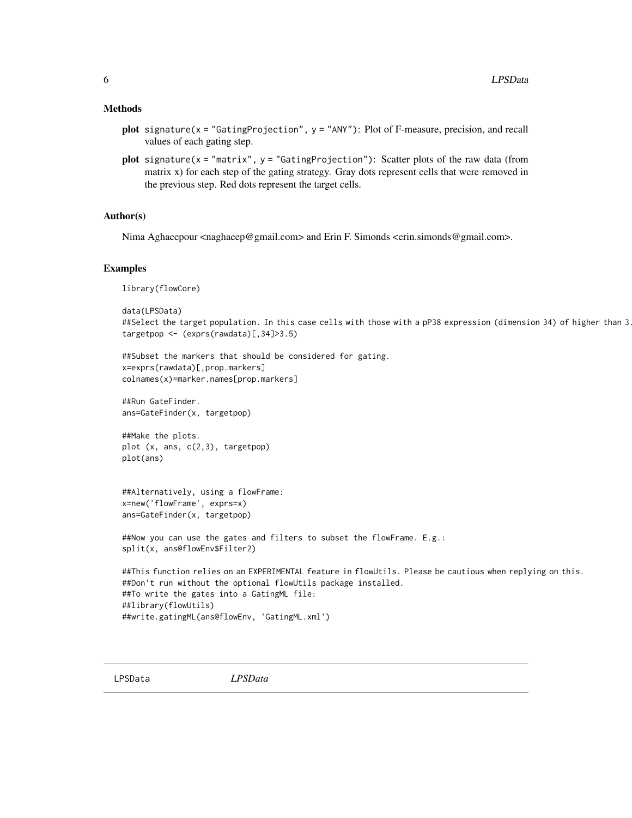### <span id="page-5-0"></span>Methods

- plot signature(x = "GatingProjection", y = "ANY"): Plot of F-measure, precision, and recall values of each gating step.
- plot signature( $x = "matrix", y = "GatingProjection")$ : Scatter plots of the raw data (from matrix x) for each step of the gating strategy. Gray dots represent cells that were removed in the previous step. Red dots represent the target cells.

# Author(s)

Nima Aghaeepour <naghaeep@gmail.com> and Erin F. Simonds <erin.simonds@gmail.com>.

#### Examples

library(flowCore)

```
data(LPSData)
##Select the target population. In this case cells with those with a pP38 expression (dimension 34) of higher than 3
targetpop <- (exprs(rawdata)[,34]>3.5)
```

```
##Subset the markers that should be considered for gating.
x=exprs(rawdata)[,prop.markers]
colnames(x)=marker.names[prop.markers]
```
##Run GateFinder. ans=GateFinder(x, targetpop)

```
##Make the plots.
plot (x, ans, c(2,3), targetpop)
plot(ans)
```
##Alternatively, using a flowFrame: x=new('flowFrame', exprs=x) ans=GateFinder(x, targetpop)

```
##Now you can use the gates and filters to subset the flowFrame. E.g.:
split(x, ans@flowEnv$Filter2)
```

```
##This function relies on an EXPERIMENTAL feature in flowUtils. Please be cautious when replying on this.
##Don't run without the optional flowUtils package installed.
##To write the gates into a GatingML file:
##library(flowUtils)
##write.gatingML(ans@flowEnv, 'GatingML.xml')
```
LPSData *LPSData*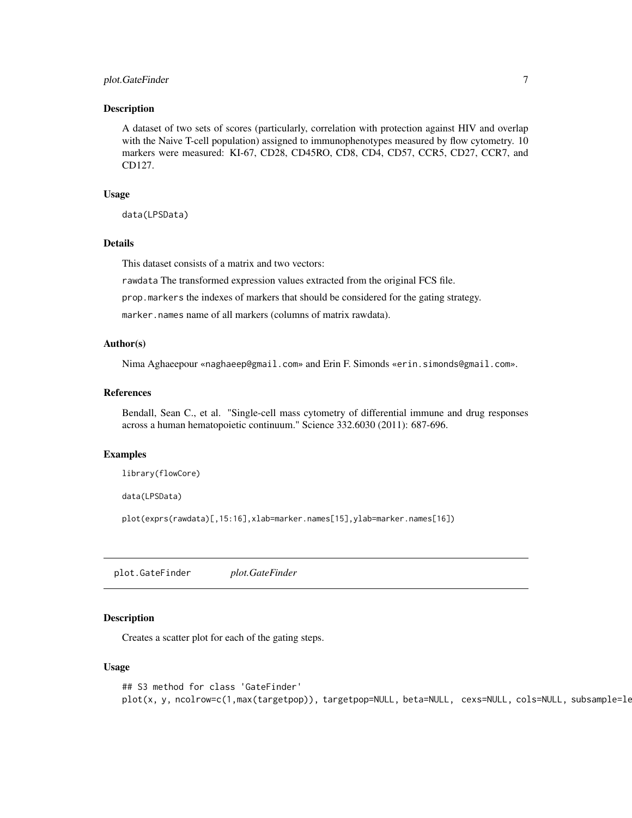# <span id="page-6-0"></span>plot.GateFinder 7

#### Description

A dataset of two sets of scores (particularly, correlation with protection against HIV and overlap with the Naive T-cell population) assigned to immunophenotypes measured by flow cytometry. 10 markers were measured: KI-67, CD28, CD45RO, CD8, CD4, CD57, CCR5, CD27, CCR7, and CD127.

#### Usage

data(LPSData)

# Details

This dataset consists of a matrix and two vectors:

rawdata The transformed expression values extracted from the original FCS file.

prop.markers the indexes of markers that should be considered for the gating strategy.

marker.names name of all markers (columns of matrix rawdata).

#### Author(s)

Nima Aghaeepour «naghaeep@gmail.com» and Erin F. Simonds «erin.simonds@gmail.com».

#### References

Bendall, Sean C., et al. "Single-cell mass cytometry of differential immune and drug responses across a human hematopoietic continuum." Science 332.6030 (2011): 687-696.

#### Examples

```
library(flowCore)
```
data(LPSData)

plot(exprs(rawdata)[,15:16],xlab=marker.names[15],ylab=marker.names[16])

plot.GateFinder *plot.GateFinder*

#### **Description**

Creates a scatter plot for each of the gating steps.

#### Usage

```
## S3 method for class 'GateFinder'
plot(x, y, ncolrow=c(1,max(targetpop)), targetpop=NULL, beta=NULL, cexs=NULL, cols=NULL, subsample=le
```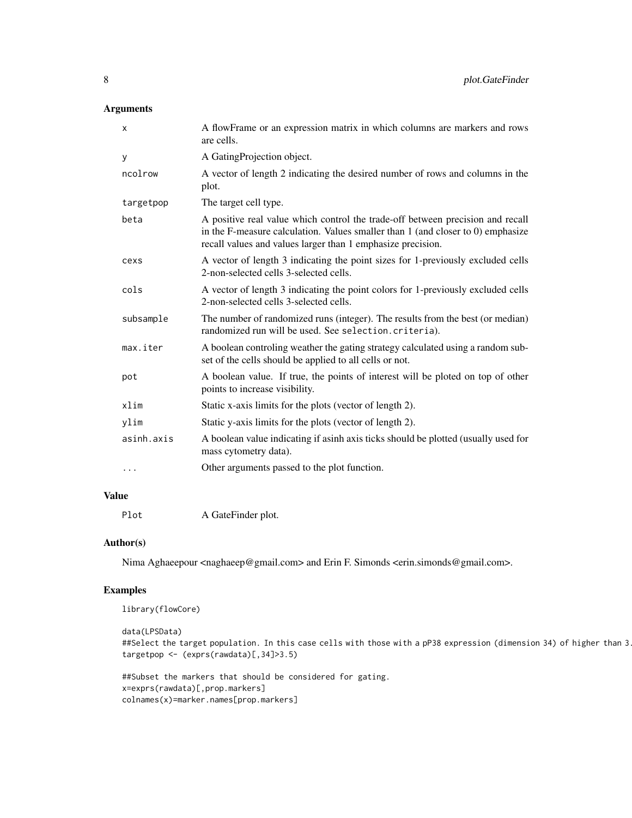# Arguments

| X          | A flowFrame or an expression matrix in which columns are markers and rows<br>are cells.                                                                                                                                               |
|------------|---------------------------------------------------------------------------------------------------------------------------------------------------------------------------------------------------------------------------------------|
| У          | A GatingProjection object.                                                                                                                                                                                                            |
| ncolrow    | A vector of length 2 indicating the desired number of rows and columns in the<br>plot.                                                                                                                                                |
| targetpop  | The target cell type.                                                                                                                                                                                                                 |
| beta       | A positive real value which control the trade-off between precision and recall<br>in the F-measure calculation. Values smaller than $1$ (and closer to $0$ ) emphasize<br>recall values and values larger than 1 emphasize precision. |
| cexs       | A vector of length 3 indicating the point sizes for 1-previously excluded cells<br>2-non-selected cells 3-selected cells.                                                                                                             |
| cols       | A vector of length 3 indicating the point colors for 1-previously excluded cells<br>2-non-selected cells 3-selected cells.                                                                                                            |
| subsample  | The number of randomized runs (integer). The results from the best (or median)<br>randomized run will be used. See selection. criteria).                                                                                              |
| max.iter   | A boolean controling weather the gating strategy calculated using a random sub-<br>set of the cells should be applied to all cells or not.                                                                                            |
| pot        | A boolean value. If true, the points of interest will be ploted on top of other<br>points to increase visibility.                                                                                                                     |
| xlim       | Static x-axis limits for the plots (vector of length 2).                                                                                                                                                                              |
| ylim       | Static y-axis limits for the plots (vector of length 2).                                                                                                                                                                              |
| asinh.axis | A boolean value indicating if asinh axis ticks should be plotted (usually used for<br>mass cytometry data).                                                                                                                           |
|            | Other arguments passed to the plot function.                                                                                                                                                                                          |
|            |                                                                                                                                                                                                                                       |

# Value

Plot A GateFinder plot.

#### Author(s)

Nima Aghaeepour <naghaeep@gmail.com> and Erin F. Simonds <erin.simonds@gmail.com>.

# Examples

```
library(flowCore)
```

```
data(LPSData)
##Select the target population. In this case cells with those with a pP38 expression (dimension 34) of higher than 3
targetpop <- (exprs(rawdata)[,34]>3.5)
```

```
##Subset the markers that should be considered for gating.
x=exprs(rawdata)[,prop.markers]
colnames(x)=marker.names[prop.markers]
```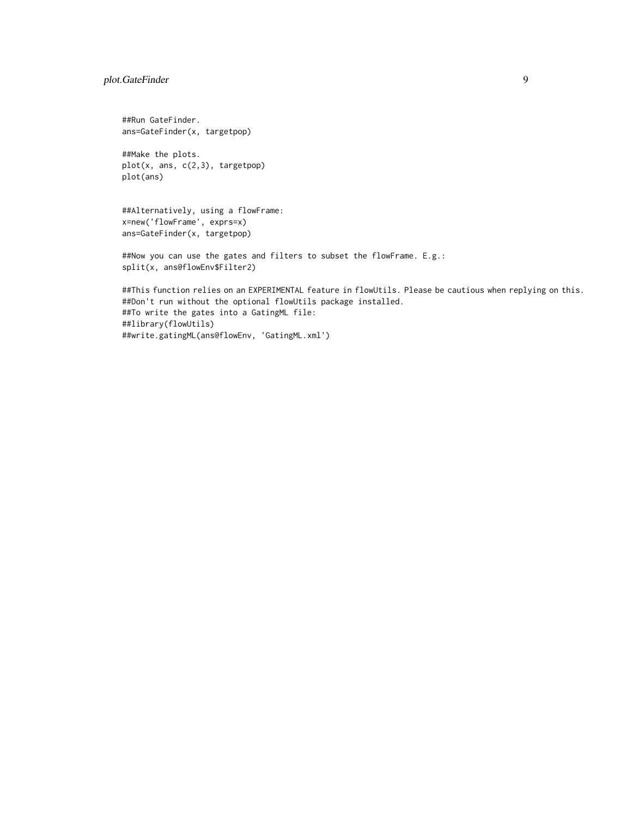# plot.GateFinder 9

##Run GateFinder. ans=GateFinder(x, targetpop)

##Make the plots. plot(x, ans, c(2,3), targetpop) plot(ans)

##Alternatively, using a flowFrame: x=new('flowFrame', exprs=x) ans=GateFinder(x, targetpop)

##Now you can use the gates and filters to subset the flowFrame. E.g.: split(x, ans@flowEnv\$Filter2)

##This function relies on an EXPERIMENTAL feature in flowUtils. Please be cautious when replying on this. ##Don't run without the optional flowUtils package installed. ##To write the gates into a GatingML file: ##library(flowUtils) ##write.gatingML(ans@flowEnv, 'GatingML.xml')